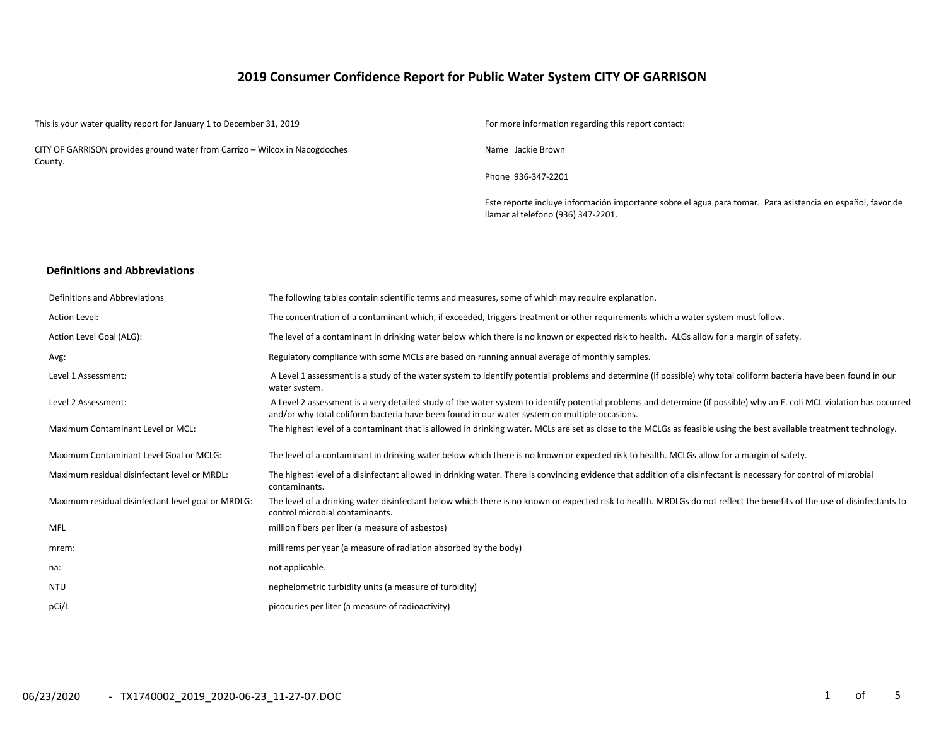# **2019 Consumer Confidence Report for Public Water System CITY OF GARRISON**

This is your water quality report for January 1 to December 31, 2019 For more information regarding this report contact:

CITY OF GARRISON provides ground water from Carrizo – Wilcox in Nacogdoches County.

Name Jackie Brown

Phone 936-347-2201

Este reporte incluye información importante sobre el agua para tomar. Para asistencia en español, favor de llamar al telefono (936) 347-2201.

#### **Definitions and Abbreviations**

| Definitions and Abbreviations                      | The following tables contain scientific terms and measures, some of which may require explanation.                                                                                                                                                                      |
|----------------------------------------------------|-------------------------------------------------------------------------------------------------------------------------------------------------------------------------------------------------------------------------------------------------------------------------|
| Action Level:                                      | The concentration of a contaminant which, if exceeded, triggers treatment or other requirements which a water system must follow.                                                                                                                                       |
| Action Level Goal (ALG):                           | The level of a contaminant in drinking water below which there is no known or expected risk to health. ALGs allow for a margin of safety.                                                                                                                               |
| Avg:                                               | Regulatory compliance with some MCLs are based on running annual average of monthly samples.                                                                                                                                                                            |
| Level 1 Assessment:                                | A Level 1 assessment is a study of the water system to identify potential problems and determine (if possible) why total coliform bacteria have been found in our<br>water system.                                                                                      |
| Level 2 Assessment:                                | A Level 2 assessment is a very detailed study of the water system to identify potential problems and determine (if possible) why an E. coli MCL violation has occurred<br>and/or why total coliform bacteria have been found in our water system on multiple occasions. |
| Maximum Contaminant Level or MCL:                  | The highest level of a contaminant that is allowed in drinking water. MCLs are set as close to the MCLGs as feasible using the best available treatment technology.                                                                                                     |
| Maximum Contaminant Level Goal or MCLG:            | The level of a contaminant in drinking water below which there is no known or expected risk to health. MCLGs allow for a margin of safety.                                                                                                                              |
| Maximum residual disinfectant level or MRDL:       | The highest level of a disinfectant allowed in drinking water. There is convincing evidence that addition of a disinfectant is necessary for control of microbial<br>contaminants.                                                                                      |
| Maximum residual disinfectant level goal or MRDLG: | The level of a drinking water disinfectant below which there is no known or expected risk to health. MRDLGs do not reflect the benefits of the use of disinfectants to<br>control microbial contaminants.                                                               |
| <b>MFL</b>                                         | million fibers per liter (a measure of asbestos)                                                                                                                                                                                                                        |
| mrem:                                              | millirems per year (a measure of radiation absorbed by the body)                                                                                                                                                                                                        |
| na:                                                | not applicable.                                                                                                                                                                                                                                                         |
| <b>NTU</b>                                         | nephelometric turbidity units (a measure of turbidity)                                                                                                                                                                                                                  |
| pCi/L                                              | picocuries per liter (a measure of radioactivity)                                                                                                                                                                                                                       |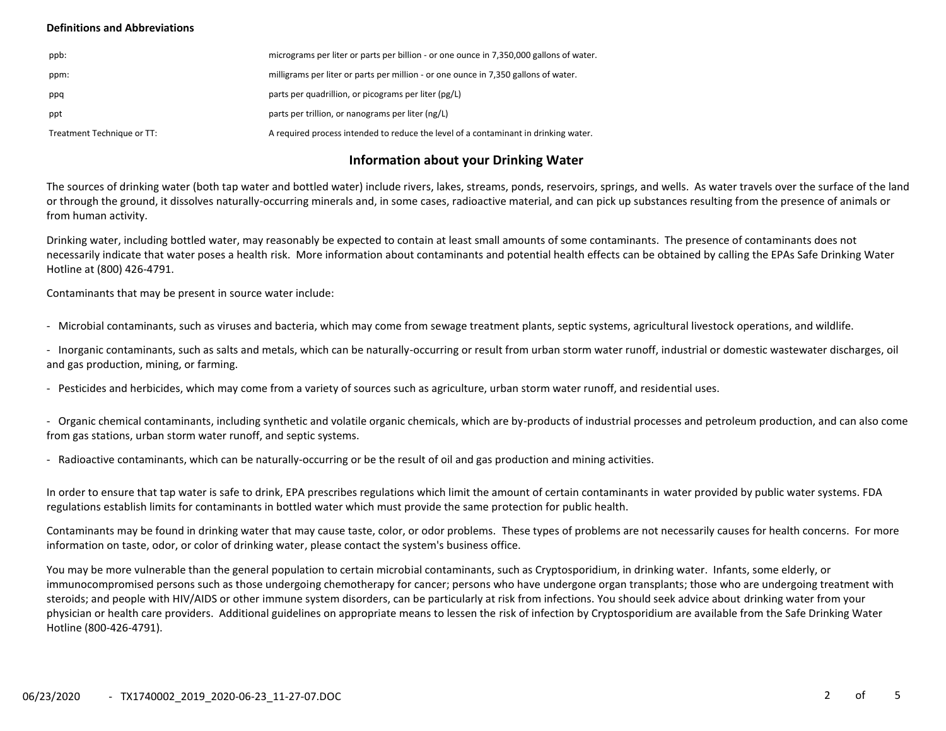## **Definitions and Abbreviations**

| ppb:                       | micrograms per liter or parts per billion - or one ounce in 7,350,000 gallons of water. |
|----------------------------|-----------------------------------------------------------------------------------------|
| ppm:                       | milligrams per liter or parts per million - or one ounce in 7,350 gallons of water.     |
| ppq                        | parts per quadrillion, or picograms per liter (pg/L)                                    |
| ppt                        | parts per trillion, or nanograms per liter (ng/L)                                       |
| Treatment Technique or TT: | A required process intended to reduce the level of a contaminant in drinking water.     |

# **Information about your Drinking Water**

The sources of drinking water (both tap water and bottled water) include rivers, lakes, streams, ponds, reservoirs, springs, and wells. As water travels over the surface of the land or through the ground, it dissolves naturally-occurring minerals and, in some cases, radioactive material, and can pick up substances resulting from the presence of animals or from human activity.

Drinking water, including bottled water, may reasonably be expected to contain at least small amounts of some contaminants. The presence of contaminants does not necessarily indicate that water poses a health risk. More information about contaminants and potential health effects can be obtained by calling the EPAs Safe Drinking Water Hotline at (800) 426-4791.

Contaminants that may be present in source water include:

- Microbial contaminants, such as viruses and bacteria, which may come from sewage treatment plants, septic systems, agricultural livestock operations, and wildlife.

- Inorganic contaminants, such as salts and metals, which can be naturally-occurring or result from urban storm water runoff, industrial or domestic wastewater discharges, oil and gas production, mining, or farming.

- Pesticides and herbicides, which may come from a variety of sources such as agriculture, urban storm water runoff, and residential uses.

- Organic chemical contaminants, including synthetic and volatile organic chemicals, which are by-products of industrial processes and petroleum production, and can also come from gas stations, urban storm water runoff, and septic systems.

- Radioactive contaminants, which can be naturally-occurring or be the result of oil and gas production and mining activities.

In order to ensure that tap water is safe to drink, EPA prescribes regulations which limit the amount of certain contaminants in water provided by public water systems. FDA regulations establish limits for contaminants in bottled water which must provide the same protection for public health.

Contaminants may be found in drinking water that may cause taste, color, or odor problems. These types of problems are not necessarily causes for health concerns. For more information on taste, odor, or color of drinking water, please contact the system's business office.

You may be more vulnerable than the general population to certain microbial contaminants, such as Cryptosporidium, in drinking water. Infants, some elderly, or immunocompromised persons such as those undergoing chemotherapy for cancer; persons who have undergone organ transplants; those who are undergoing treatment with steroids; and people with HIV/AIDS or other immune system disorders, can be particularly at risk from infections. You should seek advice about drinking water from your physician or health care providers. Additional guidelines on appropriate means to lessen the risk of infection by Cryptosporidium are available from the Safe Drinking Water Hotline (800-426-4791).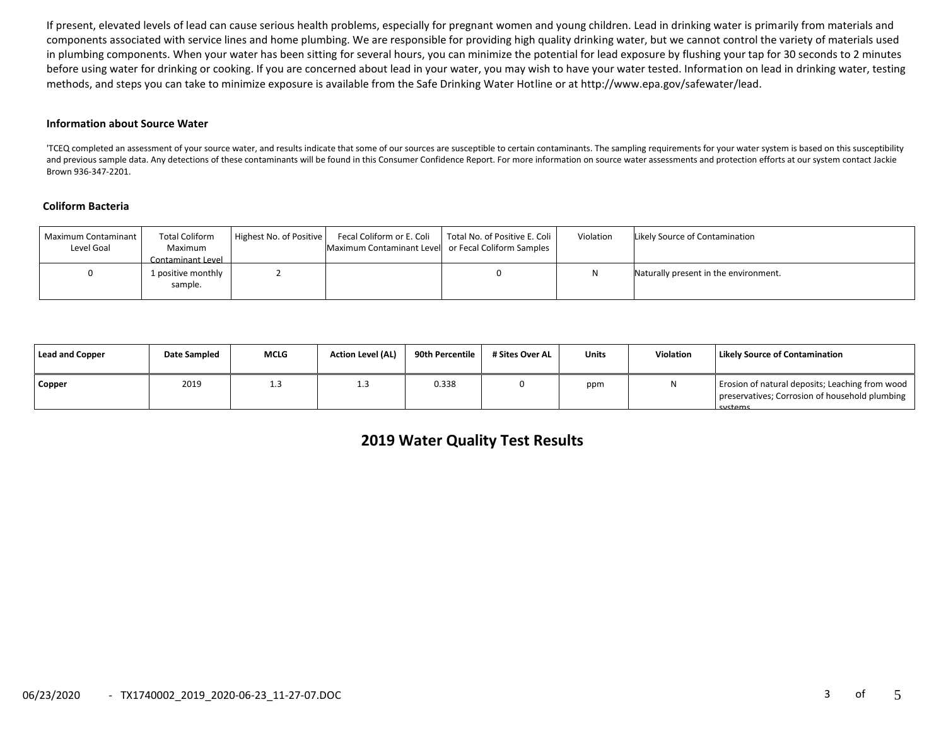If present, elevated levels of lead can cause serious health problems, especially for pregnant women and young children. Lead in drinking water is primarily from materials and components associated with service lines and home plumbing. We are responsible for providing high quality drinking water, but we cannot control the variety of materials used in plumbing components. When your water has been sitting for several hours, you can minimize the potential for lead exposure by flushing your tap for 30 seconds to 2 minutes before using water for drinking or cooking. If you are concerned about lead in your water, you may wish to have your water tested. Information on lead in drinking water, testing methods, and steps you can take to minimize exposure is available from the Safe Drinking Water Hotline or at http://www.epa.gov/safewater/lead.

#### **Information about Source Water**

'TCEQ completed an assessment of your source water, and results indicate that some of our sources are susceptible to certain contaminants. The sampling requirements for your water system is based on this susceptibility and previous sample data. Any detections of these contaminants will be found in this Consumer Confidence Report. For more information on source water assessments and protection efforts at our system contact Jackie Brown 936-347-2201.

## **Coliform Bacteria**

| Maximum Contaminant<br>Level Goal | <b>Total Coliform</b><br>Maximum<br>Contaminant Level | Highest No. of Positive | Maximum Contaminant Level or Fecal Coliform Samples | Fecal Coliform or E. Coli   Total No. of Positive E. Coli | Violation | Likely Source of Contamination        |
|-----------------------------------|-------------------------------------------------------|-------------------------|-----------------------------------------------------|-----------------------------------------------------------|-----------|---------------------------------------|
|                                   | 1 positive monthly<br>sample.                         |                         |                                                     |                                                           |           | Naturally present in the environment. |

| Lead and Copper | Date Sampled | <b>MCLG</b> | <b>Action Level (AL)</b> | 90th Percentile 1 | # Sites Over AL | <b>Units</b> | Violation | Likely Source of Contamination                                                                               |
|-----------------|--------------|-------------|--------------------------|-------------------|-----------------|--------------|-----------|--------------------------------------------------------------------------------------------------------------|
| <b>Copper</b>   | 2019         | 1.3         | ر                        | 0.338             |                 | ppm          |           | Erosion of natural deposits; Leaching from wood<br>preservatives; Corrosion of household plumbing<br>cyctome |

# **2019 Water Quality Test Results**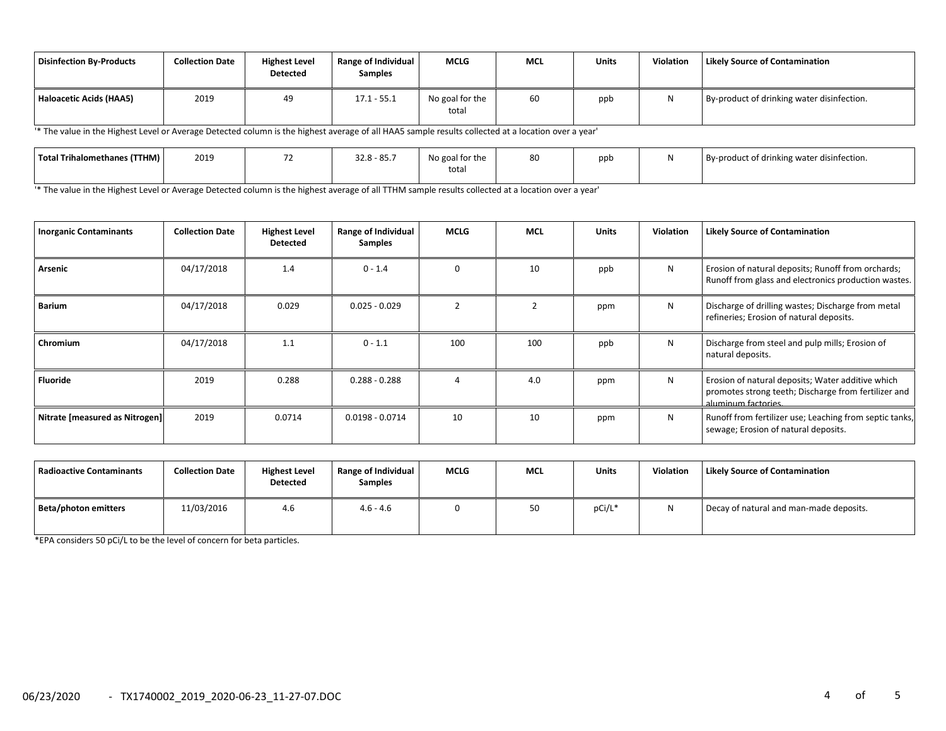| <b>Disinfection By-Products</b> | <b>Collection Date</b> | <b>Highest Level</b><br><b>Detected</b> | <b>Range of Individual</b><br><b>Samples</b> | <b>MCLG</b>              | MCL | <b>Units</b> | Violation | <b>Likely Source of Contamination</b>      |
|---------------------------------|------------------------|-----------------------------------------|----------------------------------------------|--------------------------|-----|--------------|-----------|--------------------------------------------|
| <b>Haloacetic Acids (HAA5)</b>  | 2019                   | 49                                      | $17.1 - 55.1$                                | No goal for the<br>total | 60  | ppb          |           | By-product of drinking water disinfection. |

'\* The value in the Highest Level or Average Detected column is the highest average of all HAA5 sample results collected at a location over a year'

| Total Trihalomethanes (TTHM) | 2019 | 2200027<br>32.8 - 85.7 | No goal for the | 80 | ppb | By-product of drinking water disinfection. |
|------------------------------|------|------------------------|-----------------|----|-----|--------------------------------------------|
|                              |      |                        | total           |    |     |                                            |

'\* The value in the Highest Level or Average Detected column is the highest average of all TTHM sample results collected at a location over a year'

| <b>Inorganic Contaminants</b>  | <b>Collection Date</b> | <b>Highest Level</b><br><b>Detected</b> | <b>Range of Individual</b><br>Samples | <b>MCLG</b>   | <b>MCL</b> | <b>Units</b> | <b>Violation</b> | <b>Likely Source of Contamination</b>                                                                                            |
|--------------------------------|------------------------|-----------------------------------------|---------------------------------------|---------------|------------|--------------|------------------|----------------------------------------------------------------------------------------------------------------------------------|
| Arsenic                        | 04/17/2018             | 1.4                                     | $0 - 1.4$                             | $\Omega$      | 10         | ppb          | N                | Erosion of natural deposits; Runoff from orchards;<br>Runoff from glass and electronics production wastes.                       |
| Barium                         | 04/17/2018             | 0.029                                   | $0.025 - 0.029$                       | $\mathcal{D}$ |            | ppm          | N                | Discharge of drilling wastes; Discharge from metal<br>refineries; Erosion of natural deposits.                                   |
| Chromium                       | 04/17/2018             | 1.1                                     | $0 - 1.1$                             | 100           | 100        | ppb          | N                | Discharge from steel and pulp mills; Erosion of<br>natural deposits.                                                             |
| Fluoride                       | 2019                   | 0.288                                   | $0.288 - 0.288$                       |               | 4.0        | ppm          | N                | Erosion of natural deposits; Water additive which<br>promotes strong teeth; Discharge from fertilizer and<br>aluminum factories. |
| Nitrate [measured as Nitrogen] | 2019                   | 0.0714                                  | $0.0198 - 0.0714$                     | 10            | 10         | ppm          | N                | Runoff from fertilizer use; Leaching from septic tanks,<br>sewage; Erosion of natural deposits.                                  |

| <b>Radioactive Contaminants</b> | <b>Collection Date</b> | <b>Highest Level</b><br><b>Detected</b> | Range of Individual<br><b>Samples</b> | <b>MCLG</b> | <b>MCL</b> | <b>Units</b> | <b>Violation</b> | <b>Likely Source of Contamination</b>   |
|---------------------------------|------------------------|-----------------------------------------|---------------------------------------|-------------|------------|--------------|------------------|-----------------------------------------|
| Beta/photon emitters            | 11/03/2016             | 4.6                                     | $4.6 - 4.6$                           |             | 50         | pCi/L*       | N                | Decay of natural and man-made deposits. |

\*EPA considers 50 pCi/L to be the level of concern for beta particles.